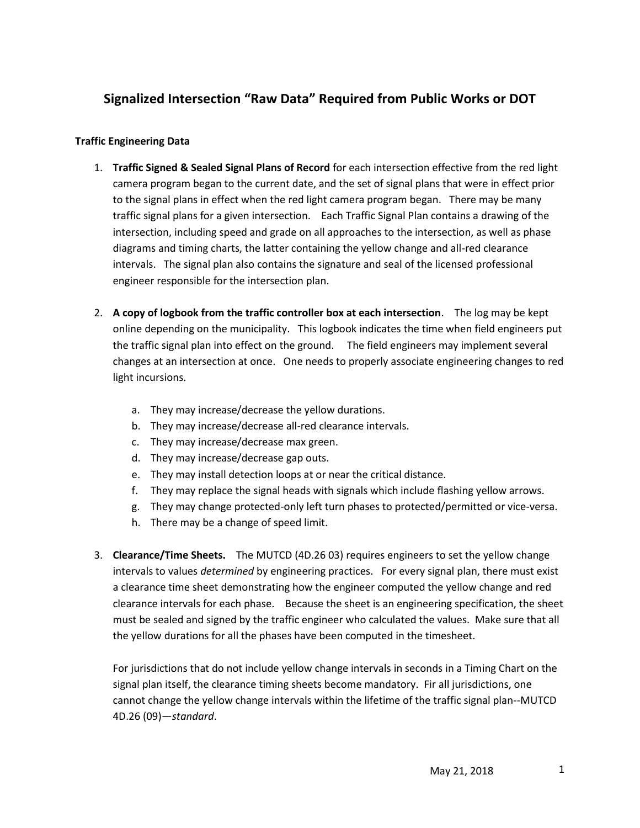## **Signalized Intersection "Raw Data" Required from Public Works or DOT**

## **Traffic Engineering Data**

- 1. **Traffic Signed & Sealed Signal Plans of Record** for each intersection effective from the red light camera program began to the current date, and the set of signal plans that were in effect prior to the signal plans in effect when the red light camera program began. There may be many traffic signal plans for a given intersection. Each Traffic Signal Plan contains a drawing of the intersection, including speed and grade on all approaches to the intersection, as well as phase diagrams and timing charts, the latter containing the yellow change and all-red clearance intervals. The signal plan also contains the signature and seal of the licensed professional engineer responsible for the intersection plan.
- 2. **A copy of logbook from the traffic controller box at each intersection**. The log may be kept online depending on the municipality. This logbook indicates the time when field engineers put the traffic signal plan into effect on the ground. The field engineers may implement several changes at an intersection at once. One needs to properly associate engineering changes to red light incursions.
	- a. They may increase/decrease the yellow durations.
	- b. They may increase/decrease all-red clearance intervals.
	- c. They may increase/decrease max green.
	- d. They may increase/decrease gap outs.
	- e. They may install detection loops at or near the critical distance.
	- f. They may replace the signal heads with signals which include flashing yellow arrows.
	- g. They may change protected-only left turn phases to protected/permitted or vice-versa.
	- h. There may be a change of speed limit.
- 3. **Clearance/Time Sheets.** The MUTCD (4D.26 03) requires engineers to set the yellow change intervals to values *determined* by engineering practices. For every signal plan, there must exist a clearance time sheet demonstrating how the engineer computed the yellow change and red clearance intervals for each phase. Because the sheet is an engineering specification, the sheet must be sealed and signed by the traffic engineer who calculated the values. Make sure that all the yellow durations for all the phases have been computed in the timesheet.

For jurisdictions that do not include yellow change intervals in seconds in a Timing Chart on the signal plan itself, the clearance timing sheets become mandatory. Fir all jurisdictions, one cannot change the yellow change intervals within the lifetime of the traffic signal plan--MUTCD 4D.26 (09)—*standard*.